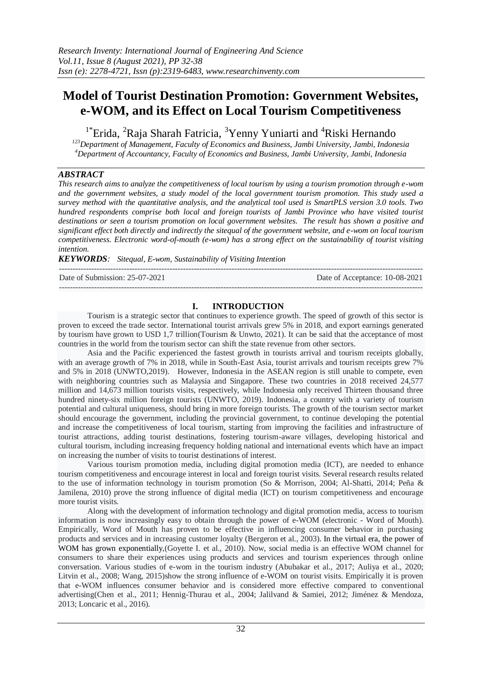# **Model of Tourist Destination Promotion: Government Websites, e-WOM, and its Effect on Local Tourism Competitiveness**

<sup>1\*</sup>Erida, <sup>2</sup>Raja Sharah Fatricia, <sup>3</sup>Yenny Yuniarti and <sup>4</sup>Riski Hernando *<sup>123</sup>Department of Management, Faculty of Economics and Business, Jambi University, Jambi, Indonesia*

*<sup>4</sup>Department of Accountancy, Faculty of Economics and Business, Jambi University, Jambi, Indonesia*

# *ABSTRACT*

*This research aims to analyze the competitiveness of local tourism by using a tourism promotion through e-wom and the government websites, a study model of the local government tourism promotion. This study used a survey method with the quantitative analysis, and the analytical tool used is SmartPLS version 3.0 tools. Two hundred respondents comprise both local and foreign tourists of Jambi Province who have visited tourist destinations or seen a tourism promotion on local government websites. The result has shown a positive and significant effect both directly and indirectly the sitequal of the government website, and e-wom on local tourism competitiveness. Electronic word-of-mouth (e-wom) has a strong effect on the sustainability of tourist visiting intention.* 

*KEYWORDS: Sitequal, E-wom, Sustainability of Visiting Intention*

| Date of Submission: 25-07-2021 | Date of Acceptance: 10-08-2021 |
|--------------------------------|--------------------------------|
|                                |                                |

# **I. INTRODUCTION**

Tourism is a strategic sector that continues to experience growth. The speed of growth of this sector is proven to exceed the trade sector. International tourist arrivals grew 5% in 2018, and export earnings generated by tourism have grown to USD 1,7 trillion(Tourism & Unwto, 2021). It can be said that the acceptance of most countries in the world from the tourism sector can shift the state revenue from other sectors.

Asia and the Pacific experienced the fastest growth in tourists arrival and tourism receipts globally, with an average growth of 7% in 2018, while in South-East Asia, tourist arrivals and tourism receipts grew 7% and 5% in 2018 (UNWTO,2019). However, Indonesia in the ASEAN region is still unable to compete, even with neighboring countries such as Malaysia and Singapore. These two countries in 2018 received 24,577 million and 14,673 million tourists visits, respectively, while Indonesia only received Thirteen thousand three hundred ninety-six million foreign tourists (UNWTO, 2019). Indonesia, a country with a variety of tourism potential and cultural uniqueness, should bring in more foreign tourists. The growth of the tourism sector market should encourage the government, including the provincial government, to continue developing the potential and increase the competitiveness of local tourism, starting from improving the facilities and infrastructure of tourist attractions, adding tourist destinations, fostering tourism-aware villages, developing historical and cultural tourism, including increasing frequency holding national and international events which have an impact on increasing the number of visits to tourist destinations of interest.

Various tourism promotion media, including digital promotion media (ICT), are needed to enhance tourism competitiveness and encourage interest in local and foreign tourist visits. Several research results related to the use of information technology in tourism promotion (So & Morrison, 2004; Al-Shatti, 2014; Peña & Jamilena, 2010) prove the strong influence of digital media (ICT) on tourism competitiveness and encourage more tourist visits.

Along with the development of information technology and digital promotion media, access to tourism information is now increasingly easy to obtain through the power of e-WOM (electronic - Word of Mouth). Empirically, Word of Mouth has proven to be effective in influencing consumer behavior in purchasing products and services and in increasing customer loyalty (Bergeron et al., 2003). In the virtual era, the power of WOM has grown exponentially,(Goyette I. et al., 2010). Now, social media is an effective WOM channel for consumers to share their experiences using products and services and tourism experiences through online conversation. Various studies of e-wom in the tourism industry (Abubakar et al., 2017; Auliya et al., 2020; Litvin et al., 2008; Wang, 2015)show the strong influence of e-WOM on tourist visits. Empirically it is proven that e-WOM influences consumer behavior and is considered more effective compared to conventional advertising(Chen et al., 2011; Hennig-Thurau et al., 2004; Jalilvand & Samiei, 2012; Jiménez & Mendoza, 2013; Loncaric et al., 2016).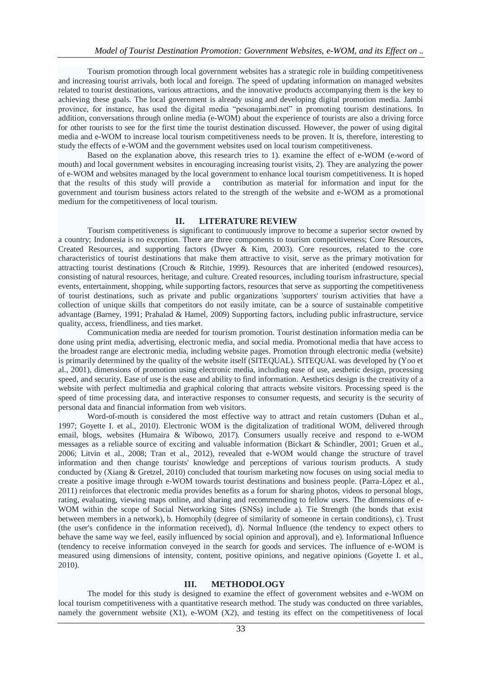Tourism promotion through local government websites has a strategic role in building competitiveness and increasing tourist arrivals, both local and foreign. The speed of updating information on managed websites related to tourist destinations, various attractions, and the innovative products accompanying them is the key to achieving these goals. The local government is already using and developing digital promotion media. Jambi province, for instance, has used the digital media "pesonajambi.net" in promoting tourism destinations. In addition, conversations through online media (e-WOM) about the experience of tourists are also a driving force for other tourists to see for the first time the tourist destination discussed. However, the power of using digital media and e-WOM to increase local tourism competitiveness needs to be proven. It is, therefore, interesting to study the effects of e-WOM and the government websites used on local tourism competitiveness.

Based on the explanation above, this research tries to 1). examine the effect of e-WOM (e-word of mouth) and local government websites in encouraging increasing tourist visits, 2). They are analyzing the power of e-WOM and websites managed by the local government to enhance local tourism competitiveness. It is hoped that the results of this study will provide a contribution as material for information and input for the government and tourism business actors related to the strength of the website and e-WOM as a promotional medium for the competitiveness of local tourism.

#### **II. LITERATURE REVIEW**

Tourism competitiveness is significant to continuously improve to become a superior sector owned by a country; Indonesia is no exception. There are three components to tourism competitiveness; Core Resources, Created Resources, and supporting factors (Dwyer & Kim, 2003). Core resources, related to the core characteristics of tourist destinations that make them attractive to visit, serve as the primary motivation for attracting tourist destinations (Crouch & Ritchie, 1999). Resources that are inherited (endowed resources), consisting of natural resources, heritage, and culture. Created resources, including tourism infrastructure, special events, entertainment, shopping, while supporting factors, resources that serve as supporting the competitiveness of tourist destinations, such as private and public organizations 'supporters' tourism activities that have a collection of unique skills that competitors do not easily imitate, can be a source of sustainable competitive advantage (Barney, 1991; Prahalad & Hamel, 2009) Supporting factors, including public infrastructure, service quality, access, friendliness, and ties market.

Communication media are needed for tourism promotion. Tourist destination information media can be done using print media, advertising, electronic media, and social media. Promotional media that have access to the broadest range are electronic media, including website pages. Promotion through electronic media (website) is primarily determined by the quality of the website itself (SITEQUAL). SITEQUAL was developed by (Yoo et al., 2001), dimensions of promotion using electronic media, including ease of use, aesthetic design, processing speed, and security. Ease of use is the ease and ability to find information. Aesthetics design is the creativity of a website with perfect multimedia and graphical coloring that attracts website visitors. Processing speed is the speed of time processing data, and interactive responses to consumer requests, and security is the security of personal data and financial information from web visitors.

Word-of-mouth is considered the most effective way to attract and retain customers (Duhan et al., 1997; Goyette I. et al., 2010). Electronic WOM is the digitalization of traditional WOM, delivered through email, blogs, websites (Humaira & Wibowo, 2017). Consumers usually receive and respond to e-WOM messages as a reliable source of exciting and valuable information (Bickart & Schindler, 2001; Gruen et al., 2006; Litvin et al., 2008; Tran et al., 2012), revealed that e-WOM would change the structure of travel information and then change tourists' knowledge and perceptions of various tourism products. A study conducted by (Xiang & Gretzel, 2010) concluded that tourism marketing now focuses on using social media to create a positive image through e-WOM towards tourist destinations and business people. (Parra-López et al., 2011) reinforces that electronic media provides benefits as a forum for sharing photos, videos to personal blogs, rating, evaluating, viewing maps online, and sharing and recommending to fellow users. The dimensions of e-WOM within the scope of Social Networking Sites (SNSs) include a). Tie Strength (the bonds that exist between members in a network), b. Homophily (degree of similarity of someone in certain conditions), c). Trust (the user's confidence in the information received), d). Normal Influence (the tendency to expect others to behave the same way we feel, easily influenced by social opinion and approval), and e). Informational Influence (tendency to receive information conveyed in the search for goods and services. The influence of e-WOM is measured using dimensions of intensity, content, positive opinions, and negative opinions (Goyette I. et al., 2010).

#### **III. METHODOLOGY**

The model for this study is designed to examine the effect of government websites and e-WOM on local tourism competitiveness with a quantitative research method. The study was conducted on three variables, namely the government website  $(X1)$ , e-WOM  $(X2)$ , and testing its effect on the competitiveness of local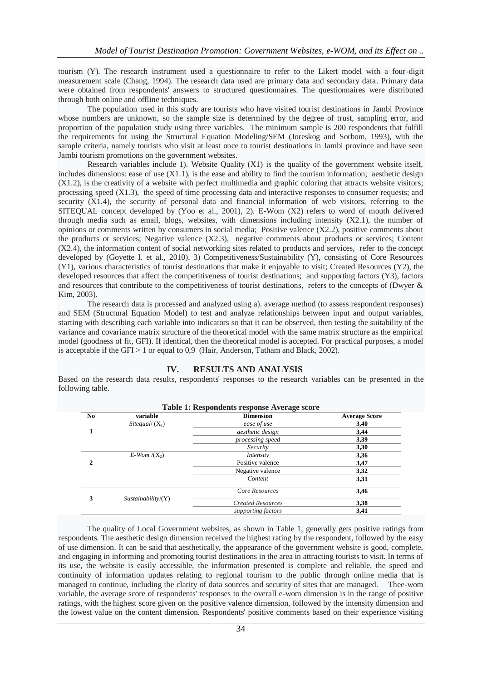tourism (Y). The research instrument used a questionnaire to refer to the Likert model with a four-digit measurement scale (Chang, 1994). The research data used are primary data and secondary data. Primary data were obtained from respondents' answers to structured questionnaires. The questionnaires were distributed through both online and offline techniques.

The population used in this study are tourists who have visited tourist destinations in Jambi Province whose numbers are unknown, so the sample size is determined by the degree of trust, sampling error, and proportion of the population study using three variables. The minimum sample is 200 respondents that fulfill the requirements for using the Structural Equation Modeling/SEM (Joreskog and Sorbom, 1993), with the sample criteria, namely tourists who visit at least once to tourist destinations in Jambi province and have seen Jambi tourism promotions on the government websites.

Research variables include 1). Website Quality (X1) is the quality of the government website itself, includes dimensions: ease of use  $(X1.1)$ , is the ease and ability to find the tourism information; aesthetic design (X1.2), is the creativity of a website with perfect multimedia and graphic coloring that attracts website visitors; processing speed (X1.3), the speed of time processing data and interactive responses to consumer requests; and security (X1.4), the security of personal data and financial information of web visitors, referring to the SITEQUAL concept developed by (Yoo et al., 2001), 2). E-Wom (X2) refers to word of mouth delivered through media such as email, blogs, websites, with dimensions including intensity  $(X2.1)$ , the number of opinions or comments written by consumers in social media; Positive valence (X2.2), positive comments about the products or services; Negative valence (X2.3), negative comments about products or services; Content (X2.4), the information content of social networking sites related to products and services, refer to the concept developed by (Goyette I. et al., 2010). 3) Competitiveness/Sustainability (Y), consisting of Core Resources (Y1), various characteristics of tourist destinations that make it enjoyable to visit; Created Resources (Y2), the developed resources that affect the competitiveness of tourist destinations; and supporting factors (Y3), factors and resources that contribute to the competitiveness of tourist destinations, refers to the concepts of (Dwyer & Kim, 2003).

The research data is processed and analyzed using a). average method (to assess respondent responses) and SEM (Structural Equation Model) to test and analyze relationships between input and output variables, starting with describing each variable into indicators so that it can be observed, then testing the suitability of the variance and covariance matrix structure of the theoretical model with the same matrix structure as the empirical model (goodness of fit, GFI). If identical, then the theoretical model is accepted. For practical purposes, a model is acceptable if the GFI  $> 1$  or equal to 0,9 (Hair, Anderson, Tatham and Black, 2002).

### **IV. RESULTS AND ANALYSIS**

Based on the research data results, respondents' responses to the research variables can be presented in the following table.

|                |                    | <b>Table 1: Respondents response Average score</b> |                      |  |
|----------------|--------------------|----------------------------------------------------|----------------------|--|
| N <sub>0</sub> | variable           | <b>Dimension</b>                                   | <b>Average Score</b> |  |
|                | Sitequal/ $(X_1)$  | ease of use                                        | 3,40                 |  |
|                |                    | aesthetic design                                   | 3,44                 |  |
|                |                    | processing speed                                   | 3,39                 |  |
|                |                    | Security                                           | 3,30                 |  |
|                | $E-Wom/(X_2)$      | Intensity                                          | 3,36                 |  |
| 2              |                    | Positive valence                                   | 3,47                 |  |
|                |                    | Negative valence                                   | 3,32                 |  |
|                |                    | Content                                            | 3,31                 |  |
|                |                    | Core Resources                                     | 3,46                 |  |
| 3              | Sustainability/(Y) | <b>Created Resources</b>                           | 3,38                 |  |
|                |                    | supporting factors                                 | 3,41                 |  |

The quality of Local Government websites, as shown in Table 1, generally gets positive ratings from respondents. The aesthetic design dimension received the highest rating by the respondent, followed by the easy of use dimension. It can be said that aesthetically, the appearance of the government website is good, complete, and engaging in informing and promoting tourist destinations in the area in attracting tourists to visit. In terms of its use, the website is easily accessible, the information presented is complete and reliable, the speed and continuity of information updates relating to regional tourism to the public through online media that is managed to continue, including the clarity of data sources and security of sites that are managed. Thee-wom variable, the average score of respondents' responses to the overall e-wom dimension is in the range of positive ratings, with the highest score given on the positive valence dimension, followed by the intensity dimension and the lowest value on the content dimension. Respondents' positive comments based on their experience visiting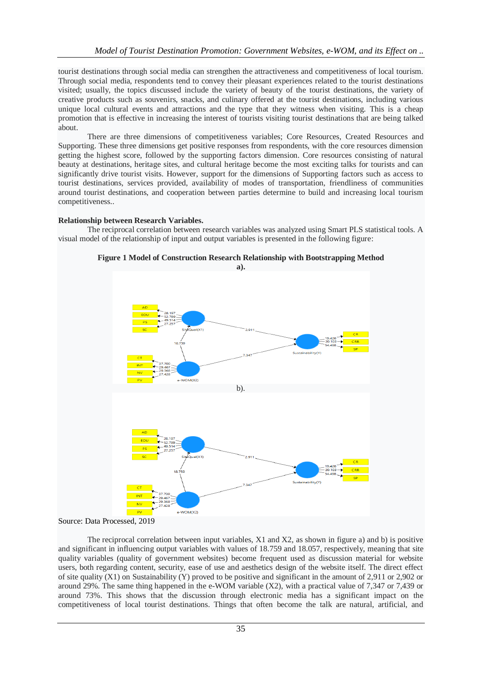tourist destinations through social media can strengthen the attractiveness and competitiveness of local tourism. Through social media, respondents tend to convey their pleasant experiences related to the tourist destinations visited; usually, the topics discussed include the variety of beauty of the tourist destinations, the variety of creative products such as souvenirs, snacks, and culinary offered at the tourist destinations, including various unique local cultural events and attractions and the type that they witness when visiting. This is a cheap promotion that is effective in increasing the interest of tourists visiting tourist destinations that are being talked about.

There are three dimensions of competitiveness variables; Core Resources, Created Resources and Supporting. These three dimensions get positive responses from respondents, with the core resources dimension getting the highest score, followed by the supporting factors dimension. Core resources consisting of natural beauty at destinations, heritage sites, and cultural heritage become the most exciting talks for tourists and can significantly drive tourist visits. However, support for the dimensions of Supporting factors such as access to tourist destinations, services provided, availability of modes of transportation, friendliness of communities around tourist destinations, and cooperation between parties determine to build and increasing local tourism competitiveness..

## **Relationship between Research Variables.**

The reciprocal correlation between research variables was analyzed using Smart PLS statistical tools. A visual model of the relationship of input and output variables is presented in the following figure:



**Figure 1 Model of Construction Research Relationship with Bootstrapping Method**

Source: Data Processed, 2019

The reciprocal correlation between input variables, X1 and X2, as shown in figure a) and b) is positive and significant in influencing output variables with values of 18.759 and 18.057, respectively, meaning that site quality variables (quality of government websites) become frequent used as discussion material for website users, both regarding content, security, ease of use and aesthetics design of the website itself. The direct effect of site quality (X1) on Sustainability (Y) proved to be positive and significant in the amount of 2,911 or 2,902 or around 29%. The same thing happened in the e-WOM variable (X2), with a practical value of 7,347 or 7,439 or around 73%. This shows that the discussion through electronic media has a significant impact on the competitiveness of local tourist destinations. Things that often become the talk are natural, artificial, and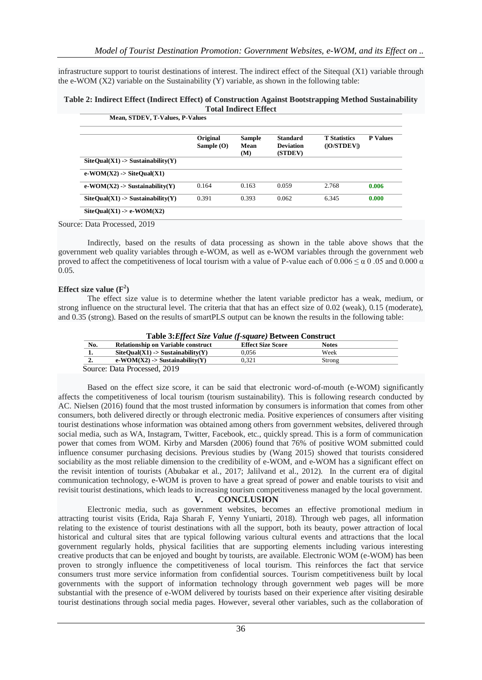infrastructure support to tourist destinations of interest. The indirect effect of the Sitequal (X1) variable through the e-WOM (X2) variable on the Sustainability (Y) variable, as shown in the following table:

#### **Table 2: Indirect Effect (Indirect Effect) of Construction Against Bootstrapping Method Sustainability Total Indirect Effect Mean, STDEV, T-Values, P-Values**

|                                                            | Original<br>Sample $(O)$ | <b>Sample</b><br>Mean<br>(M) | <b>Standard</b><br><b>Deviation</b><br>(STDEV) | <b>T</b> Statistics<br>( O/STDEV ) | <b>P</b> Values |
|------------------------------------------------------------|--------------------------|------------------------------|------------------------------------------------|------------------------------------|-----------------|
| $\text{SiteQual}(X1) \rightarrow \text{Sustainability}(Y)$ |                          |                              |                                                |                                    |                 |
| $e-WOM(X2)$ -> SiteQual(X1)                                |                          |                              |                                                |                                    |                 |
| $e-WOM(X2)$ -> Sustainability(Y)                           | 0.164                    | 0.163                        | 0.059                                          | 2.768                              | 0.006           |
| $\text{SiteQual}(X1) \rightarrow \text{Sustainability}(Y)$ | 0.391                    | 0.393                        | 0.062                                          | 6.345                              | 0.000           |

Source: Data Processed, 2019

Indirectly, based on the results of data processing as shown in the table above shows that the government web quality variables through e-WOM, as well as e-WOM variables through the government web proved to affect the competitiveness of local tourism with a value of P-value each of  $0.006 \le \alpha$  0.05 and 0.000  $\alpha$  $0.05.$ 

## **Effect size value (F<sup>2</sup> )**

The effect size value is to determine whether the latent variable predictor has a weak, medium, or strong influence on the structural level. The criteria that that has an effect size of 0.02 (weak), 0.15 (moderate), and 0.35 (strong). Based on the results of smartPLS output can be known the results in the following table:

| No. | <b>Relationship on Variable construct</b>                  | <b>Effect Size Score</b> | <b>Notes</b> |
|-----|------------------------------------------------------------|--------------------------|--------------|
| ı.  | $\text{SiteOual}(X1) \rightarrow \text{Sustainability}(Y)$ | 0.056                    | Week         |
| 2.  | $e-WOM(X2)$ -> Sustainability(Y)                           | 0.321                    | Strong       |

**Table 3:***Effect Size Value (f-square)* **Between Construct**

Based on the effect size score, it can be said that electronic word-of-mouth (e-WOM) significantly affects the competitiveness of local tourism (tourism sustainability). This is following research conducted by AC. Nielsen (2016) found that the most trusted information by consumers is information that comes from other consumers, both delivered directly or through electronic media. Positive experiences of consumers after visiting tourist destinations whose information was obtained among others from government websites, delivered through social media, such as WA, Instagram, Twitter, Facebook, etc., quickly spread. This is a form of communication power that comes from WOM. Kirby and Marsden (2006) found that 76% of positive WOM submitted could influence consumer purchasing decisions. Previous studies by (Wang 2015) showed that tourists considered sociability as the most reliable dimension to the credibility of e-WOM, and e-WOM has a significant effect on the revisit intention of tourists (Abubakar et al., 2017; Jalilvand et al., 2012). In the current era of digital communication technology, e-WOM is proven to have a great spread of power and enable tourists to visit and revisit tourist destinations, which leads to increasing tourism competitiveness managed by the local government.

## **V. CONCLUSION**

Electronic media, such as government websites, becomes an effective promotional medium in attracting tourist visits (Erida, Raja Sharah F, Yenny Yuniarti, 2018). Through web pages, all information relating to the existence of tourist destinations with all the support, both its beauty, power attraction of local historical and cultural sites that are typical following various cultural events and attractions that the local government regularly holds, physical facilities that are supporting elements including various interesting creative products that can be enjoyed and bought by tourists, are available. Electronic WOM (e-WOM) has been proven to strongly influence the competitiveness of local tourism. This reinforces the fact that service consumers trust more service information from confidential sources. Tourism competitiveness built by local governments with the support of information technology through government web pages will be more substantial with the presence of e-WOM delivered by tourists based on their experience after visiting desirable tourist destinations through social media pages. However, several other variables, such as the collaboration of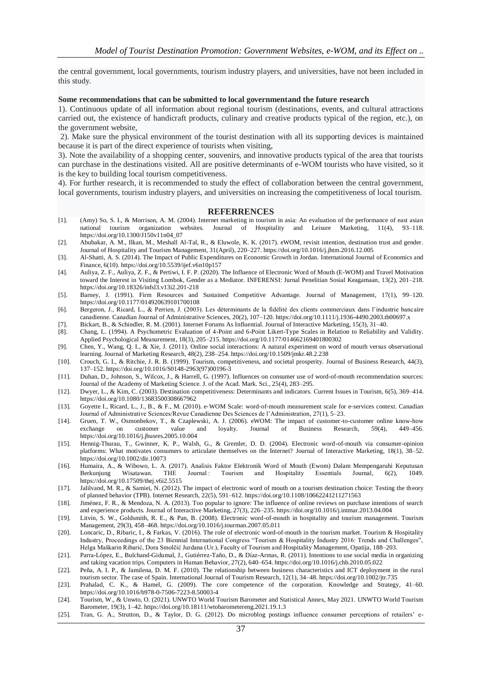the central government, local governments, tourism industry players, and universities, have not been included in this study.

#### **Some recommendations that can be submitted to local governmentand the future research**

1). Continuous update of all information about regional tourism (destinations, events, and cultural attractions carried out, the existence of handicraft products, culinary and creative products typical of the region, etc.), on the government website,

2). Make sure the physical environment of the tourist destination with all its supporting devices is maintained because it is part of the direct experience of tourists when visiting,

3). Note the availability of a shopping center, souvenirs, and innovative products typical of the area that tourists can purchase in the destinations visited. All are positive determinants of e-WOM tourists who have visited, so it is the key to building local tourism competitiveness.

4). For further research, it is recommended to study the effect of collaboration between the central government, local governments, tourism industry players, and universities on increasing the competitiveness of local tourism.

#### **REFERRENCES**

- [1]. (Amy) So, S. I., & Morrison, A. M. (2004). Internet marketing in tourism in asia: An evaluation of the performance of east asian national tourism organization websites. Journal of Hospitality and Leisure Marketing, 11(4), 93–118. https://doi.org/10.1300/J150v11n04\_07
- [2]. Abubakar, A. M., Ilkan, M., Meshall Al-Tal, R., & Eluwole, K. K. (2017). eWOM, revisit intention, destination trust and gender. Journal of Hospitality and Tourism Management, 31(April), 220–227. https://doi.org/10.1016/j.jhtm.2016.12.005
- [3]. Al-Shatti, A. S. (2014). The Impact of Public Expenditures on Economic Growth in Jordan. International Journal of Economics and Finance, 6(10). https://doi.org/10.5539/ijef.v6n10p157
- [4]. Auliya, Z. F., Auliya, Z. F., & Pertiwi, I. F. P. (2020). The Influence of Electronic Word of Mouth (E-WOM) and Travel Motivation toward the Interest in Visiting Lombok, Gender as a Mediator. INFERENSI: Jurnal Penelitian Sosial Keagamaan, 13(2), 201–218. https://doi.org/10.18326/infsl3.v13i2.201-218
- [5]. Barney, J. (1991). Firm Resources and Sustained Competitive Advantage. Journal of Management, 17(1), 99–120. https://doi.org/10.1177/014920639101700108
- [6]. Bergeron, J., Ricard, L., & Perrien, J. (2003). Les déterminants de la fidélité des clients commerciaux dans l'industrie bancaire canadienne. Canadian Journal of Administrative Sciences, 20(2), 107–120. https://doi.org/10.1111/j.1936-4490.2003.tb00697.x
- [7]. Bickart, B., & Schindler, R. M. (2001). Internet Forums As Influential. Journal of Interactive Marketing, 15(3), 31–40.
- [8]. Chang, L. (1994). A Psychometric Evaluation of 4-Point and 6-Point Likert-Type Scales in Relation to Reliability and Validity. Applied Psychological Measurement, 18(3), 205–215. https://doi.org/10.1177/014662169401800302
- [9]. Chen, Y., Wang, Q. I., & Xie, J. (2011). Online social interactions: A natural experiment on word of mouth versus observational learning. Journal of Marketing Research, 48(2), 238–254. https://doi.org/10.1509/jmkr.48.2.238
- [10]. Crouch, G. I., & Ritchie, J. R. B. (1999). Tourism, competitiveness, and societal prosperity. Journal of Business Research, 44(3), 137–152. https://doi.org/10.1016/S0148-2963(97)00196-3
- [11]. Duhan, D., Johnson, S., Wilcox, J., & Harrell, G. (1997). Influences on consumer use of word-of-mouth recommendation sources: Journal of the Academy of Marketing Science. J. of the Acad. Mark. Sci., 25(4), 283–295.
- [12]. Dwyer, L., & Kim, C. (2003). Destination competitiveness: Determinants and indicators. Current Issues in Tourism, 6(5), 369–414. https://doi.org/10.1080/13683500308667962
- [13]. Goyette I., Ricard, L., J., B., & F., M. (2010). e-WOM Scale: word-of-mouth measurement scale for e-services context. Canadian Journal of Administrative Sciences/Revue Canadienne Des Sciences de l'Administration, 27(1), 5–23.
- [14]. Gruen, T. W., Osmonbekov, T., & Czaplewski, A. J. (2006). eWOM: The impact of customer-to-customer online know-how exchange on customer value and https://doi.org/10.1016/j.jbusres.2005.10.004
- [15]. Hennig-Thurau, T., Gwinner, K. P., Walsh, G., & Gremler, D. D. (2004). Electronic word-of-mouth via consumer-opinion platforms: What motivates consumers to articulate themselves on the Internet? Journal of Interactive Marketing, 18(1), 38–52. https://doi.org/10.1002/dir.10073
- [16]. Humaira, A., & Wibowo, L. A. (2017). Analisis Faktor Elektronik Word of Mouth (Ewom) Dalam Mempengaruhi Keputusan Berkunjung Wisatawan. THE Journal: Tourism and Hospitality Essentials Journal, 6(2), 1049. https://doi.org/10.17509/thej.v6i2.5515
- [17]. Jalilvand, M. R., & Samiei, N. (2012). The impact of electronic word of mouth on a tourism destination choice: Testing the theory of planned behavior (TPB). Internet Research, 22(5), 591–612. https://doi.org/10.1108/10662241211271563
- [18]. Jiménez, F. R., & Mendoza, N. A. (2013). Too popular to ignore: The influence of online reviews on purchase intentions of search and experience products. Journal of Interactive Marketing, 27(3), 226–235. https://doi.org/10.1016/j.intmar.2013.04.004
- [19]. Litvin, S. W., Goldsmith, R. E., & Pan, B. (2008). Electronic word-of-mouth in hospitality and tourism management. Tourism Management, 29(3), 458–468. https://doi.org/10.1016/j.tourman.2007.05.011
- [20]. Loncaric, D., Ribaric, I., & Farkas, V. (2016). The role of electronic word-of-mouth in the tourism market. Tourism & Hospitality Industry, Proceedings of the 23 Biennial International Congress "Tourism & Hospitality Industry 2016: Trends and Challenges", Helga Maškarin Ribarić, Dora Smolčić Jurdana (Ur.), Faculty of Tourism and Hospitality Management, Opatija, 188–203.
- [21]. Parra-López, E., Bulchand-Gidumal, J., Gutiérrez-Taño, D., & Díaz-Armas, R. (2011). Intentions to use social media in organizing and taking vacation trips. Computers in Human Behavior, 27(2), 640–654. https://doi.org/10.1016/j.chb.2010.05.022
- [22]. Peña, A. I. P., & Jamilena, D. M. F. (2010). The relationship between business characteristics and ICT deployment in the rural tourism sector. The case of Spain. International Journal of Tourism Research, 12(1), 34–48. https://doi.org/10.1002/jtr.735
- [23]. Prahalad, C. K., & Hamel, G. (2009). The core competence of the corporation. Knowledge and Strategy, 41–60. https://doi.org/10.1016/b978-0-7506-7223-8.50003-4
- [24]. Tourism, W., & Unwto, O. (2021). UNWTO World Tourism Barometer and Statistical Annex, May 2021. UNWTO World Tourism Barometer, 19(3), 1–42. https://doi.org/10.18111/wtobarometereng.2021.19.1.3
- [25]. Tran, G. A., Strutton, D., & Taylor, D. G. (2012). Do microblog postings influence consumer perceptions of retailers' e-